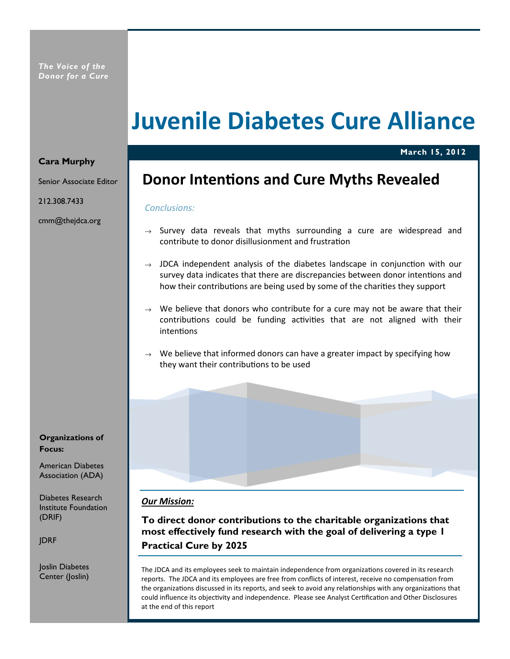# Juvenile Diabetes Cure Alliance

## Cara Murphy

Senior Associate Editor

212.308.7433

cmm@thejdca.org

Organizations of Focus:

American Diabetes Association (ADA)

Diabetes Research Institute Foundation (DRIF)

JDRF

Joslin Diabetes Center (Joslin)

# Donor Intentions and Cure Myths Revealed

March 15, 2012

#### Conclusions:

- $\rightarrow$  Survey data reveals that myths surrounding a cure are widespread and contribute to donor disillusionment and frustration
- $\rightarrow$  JDCA independent analysis of the diabetes landscape in conjunction with our survey data indicates that there are discrepancies between donor intentions and how their contributions are being used by some of the charities they support
- $\rightarrow$  We believe that donors who contribute for a cure may not be aware that their contributions could be funding activities that are not aligned with their intentions
- $\rightarrow$  We believe that informed donors can have a greater impact by specifying how they want their contributions to be used

# Our Mission:

To direct donor contributions to the charitable organizations that most effectively fund research with the goal of delivering a type 1 Practical Cure by 2025

The JDCA and its employees seek to maintain independence from organizations covered in its research reports. The JDCA and its employees are free from conflicts of interest, receive no compensation from the organizations discussed in its reports, and seek to avoid any relationships with any organizations that could influence its objectivity and independence. Please see Analyst Certification and Other Disclosures at the end of this report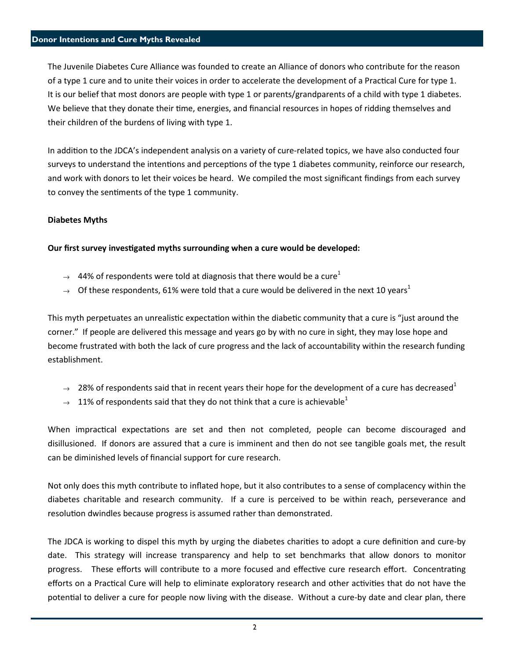The Juvenile Diabetes Cure Alliance was founded to create an Alliance of donors who contribute for the reason of a type 1 cure and to unite their voices in order to accelerate the development of a Practical Cure for type 1. It is our belief that most donors are people with type 1 or parents/grandparents of a child with type 1 diabetes. We believe that they donate their time, energies, and financial resources in hopes of ridding themselves and their children of the burdens of living with type 1.

In addition to the JDCA's independent analysis on a variety of cure-related topics, we have also conducted four surveys to understand the intentions and perceptions of the type 1 diabetes community, reinforce our research, and work with donors to let their voices be heard. We compiled the most significant findings from each survey to convey the sentiments of the type 1 community.

## Diabetes Myths

#### Our first survey investigated myths surrounding when a cure would be developed:

- $\rightarrow$  44% of respondents were told at diagnosis that there would be a cure<sup>1</sup>
- $\rightarrow$  Of these respondents, 61% were told that a cure would be delivered in the next 10 years<sup>1</sup>

This myth perpetuates an unrealistic expectation within the diabetic community that a cure is "just around the corner." If people are delivered this message and years go by with no cure in sight, they may lose hope and become frustrated with both the lack of cure progress and the lack of accountability within the research funding establishment.

- $\rightarrow$  28% of respondents said that in recent years their hope for the development of a cure has decreased<sup>1</sup>
- $\rightarrow$  11% of respondents said that they do not think that a cure is achievable<sup>1</sup>

When impractical expectations are set and then not completed, people can become discouraged and disillusioned. If donors are assured that a cure is imminent and then do not see tangible goals met, the result can be diminished levels of financial support for cure research.

Not only does this myth contribute to inflated hope, but it also contributes to a sense of complacency within the diabetes charitable and research community. If a cure is perceived to be within reach, perseverance and resolution dwindles because progress is assumed rather than demonstrated.

The JDCA is working to dispel this myth by urging the diabetes charities to adopt a cure definition and cure-by date. This strategy will increase transparency and help to set benchmarks that allow donors to monitor progress. These efforts will contribute to a more focused and effective cure research effort. Concentrating efforts on a Practical Cure will help to eliminate exploratory research and other activities that do not have the potential to deliver a cure for people now living with the disease. Without a cure-by date and clear plan, there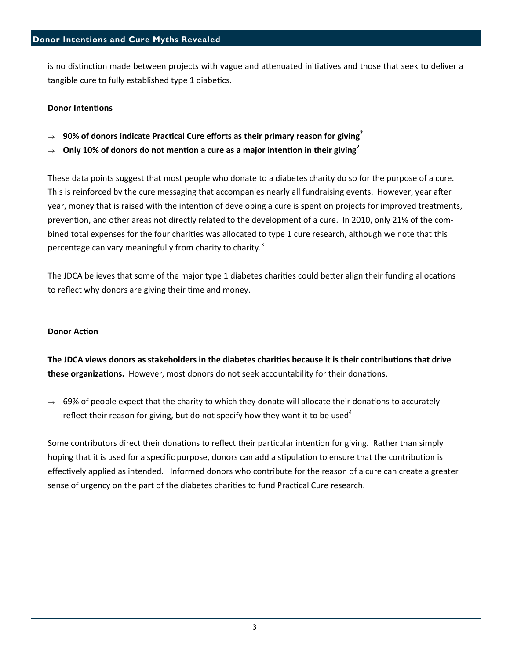is no distinction made between projects with vague and attenuated initiatives and those that seek to deliver a tangible cure to fully established type 1 diabetics.

## **Donor Intentions**

- $\rightarrow$  90% of donors indicate Practical Cure efforts as their primary reason for giving<sup>2</sup>
- $\rightarrow$  Only 10% of donors do not mention a cure as a major intention in their giving<sup>2</sup>

These data points suggest that most people who donate to a diabetes charity do so for the purpose of a cure. This is reinforced by the cure messaging that accompanies nearly all fundraising events. However, year after year, money that is raised with the intention of developing a cure is spent on projects for improved treatments, prevention, and other areas not directly related to the development of a cure. In 2010, only 21% of the combined total expenses for the four charities was allocated to type 1 cure research, although we note that this percentage can vary meaningfully from charity to charity.<sup>3</sup>

The JDCA believes that some of the major type 1 diabetes charities could better align their funding allocations to reflect why donors are giving their time and money.

## **Donor Action**

The JDCA views donors as stakeholders in the diabetes charities because it is their contributions that drive **these organizations.** However, most donors do not seek accountability for their donations.

 $\rightarrow$  69% of people expect that the charity to which they donate will allocate their donations to accurately reflect their reason for giving, but do not specify how they want it to be used<sup>4</sup>

Some contributors direct their donations to reflect their particular intention for giving. Rather than simply hoping that it is used for a specific purpose, donors can add a stipulation to ensure that the contribution is effectively applied as intended. Informed donors who contribute for the reason of a cure can create a greater sense of urgency on the part of the diabetes charities to fund Practical Cure research.